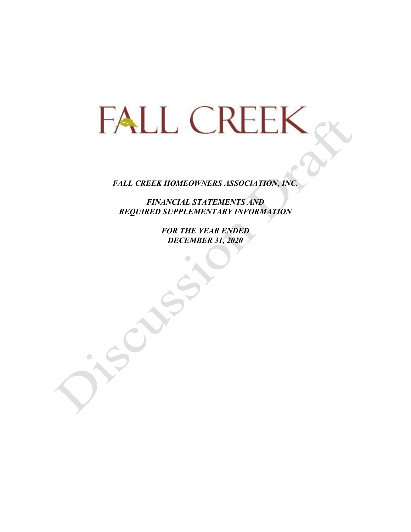# FALL CREEK

*FALL CREEK HOMEOWNERS ASSOCIATION, INC.*

*FINANCIAL STATEMENTS AND REQUIRED SUPPLEMENTARY INFORMATION*

> *FOR THE YEAR ENDED DECEMBER 31, 2020*

 $\begin{array}{c} \begin{array}{c} \begin{array}{c} \begin{array}{c} \end{array} \end{array} \end{array} \end{array} \end{array}$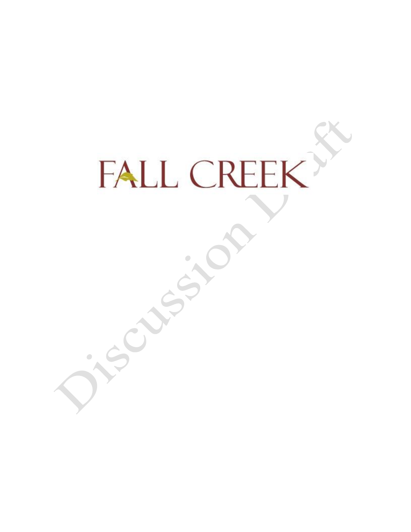# FALL CREEK

Contraction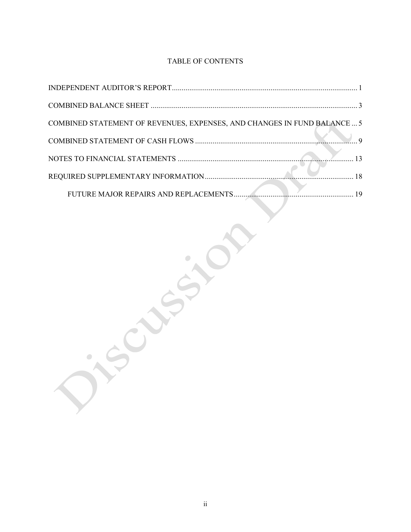# TABLE OF CONTENTS

| COMBINED STATEMENT OF REVENUES, EXPENSES, AND CHANGES IN FUND BALANCE  5 |             |
|--------------------------------------------------------------------------|-------------|
|                                                                          | $\mathbf Q$ |
|                                                                          |             |
| $\ldots$ 18                                                              |             |
|                                                                          | 19          |

ASSISTERS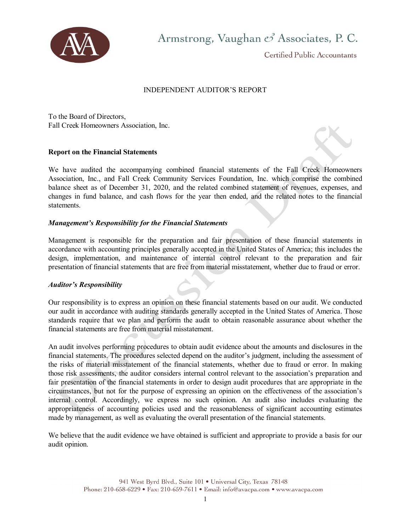

Armstrong, Vaughan & Associates, P. C.

**Certified Public Accountants** 

## INDEPENDENT AUDITOR'S REPORT

To the Board of Directors, Fall Creek Homeowners Association, Inc.

#### **Report on the Financial Statements**

We have audited the accompanying combined financial statements of the Fall Creek Homeowners Association, Inc., and Fall Creek Community Services Foundation, Inc. which comprise the combined balance sheet as of December 31, 2020, and the related combined statement of revenues, expenses, and changes in fund balance, and cash flows for the year then ended, and the related notes to the financial statements.

#### *Management's Responsibility for the Financial Statements*

Management is responsible for the preparation and fair presentation of these financial statements in accordance with accounting principles generally accepted in the United States of America; this includes the design, implementation, and maintenance of internal control relevant to the preparation and fair presentation of financial statements that are free from material misstatement, whether due to fraud or error.

#### *Auditor's Responsibility*

Our responsibility is to express an opinion on these financial statements based on our audit. We conducted our audit in accordance with auditing standards generally accepted in the United States of America. Those standards require that we plan and perform the audit to obtain reasonable assurance about whether the financial statements are free from material misstatement.

An audit involves performing procedures to obtain audit evidence about the amounts and disclosures in the financial statements. The procedures selected depend on the auditor's judgment, including the assessment of the risks of material misstatement of the financial statements, whether due to fraud or error. In making those risk assessments, the auditor considers internal control relevant to the association's preparation and fair presentation of the financial statements in order to design audit procedures that are appropriate in the circumstances, but not for the purpose of expressing an opinion on the effectiveness of the association's internal control. Accordingly, we express no such opinion. An audit also includes evaluating the appropriateness of accounting policies used and the reasonableness of significant accounting estimates made by management, as well as evaluating the overall presentation of the financial statements.

We believe that the audit evidence we have obtained is sufficient and appropriate to provide a basis for our audit opinion.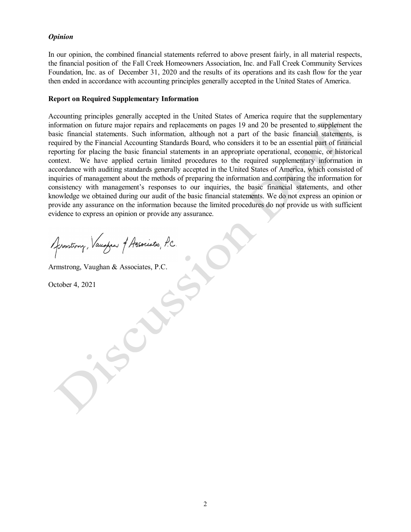#### *Opinion*

In our opinion, the combined financial statements referred to above present fairly, in all material respects, the financial position of the Fall Creek Homeowners Association, Inc. and Fall Creek Community Services Foundation, Inc. as of December 31, 2020 and the results of its operations and its cash flow for the year then ended in accordance with accounting principles generally accepted in the United States of America.

#### **Report on Required Supplementary Information**

Accounting principles generally accepted in the United States of America require that the supplementary information on future major repairs and replacements on pages 19 and 20 be presented to supplement the basic financial statements. Such information, although not a part of the basic financial statements, is required by the Financial Accounting Standards Board, who considers it to be an essential part of financial reporting for placing the basic financial statements in an appropriate operational, economic, or historical context. We have applied certain limited procedures to the required supplementary information in accordance with auditing standards generally accepted in the United States of America, which consisted of inquiries of management about the methods of preparing the information and comparing the information for consistency with management's responses to our inquiries, the basic financial statements, and other knowledge we obtained during our audit of the basic financial statements. We do not express an opinion or provide any assurance on the information because the limited procedures do not provide us with sufficient evidence to express an opinion or provide any assurance.

franting, Vauspen & Associates, P.C.

Armstrong, Vaughan & Associates, P.C.

October 4, 2021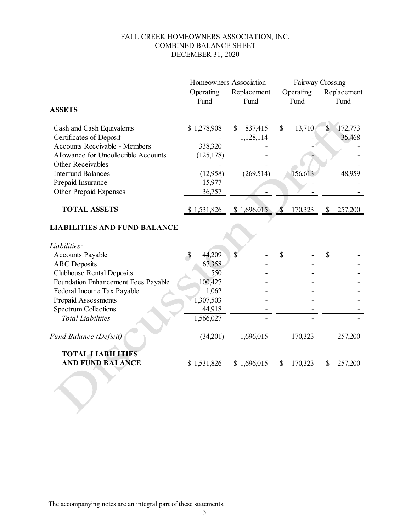# FALL CREEK HOMEOWNERS ASSOCIATION, INC. COMBINED BALANCE SHEET DECEMBER 31, 2020

|                                      |                   | Homeowners Association               |                        | Fairway Crossing         |
|--------------------------------------|-------------------|--------------------------------------|------------------------|--------------------------|
|                                      | Operating<br>Fund | Replacement<br>Fund                  | Operating<br>Fund      | Replacement<br>Fund      |
| <b>ASSETS</b>                        |                   |                                      |                        |                          |
| Cash and Cash Equivalents            | \$1,278,908       | 837,415<br>\$                        | 13,710<br>$\mathbb{S}$ | $\mathcal{S}$<br>172,773 |
| Certificates of Deposit              |                   | 1,128,114                            |                        | 35,468                   |
| Accounts Receivable - Members        | 338,320           |                                      |                        |                          |
| Allowance for Uncollectible Accounts | (125, 178)        |                                      |                        |                          |
| Other Receivables                    |                   |                                      |                        |                          |
| <b>Interfund Balances</b>            | (12,958)          | (269, 514)                           | 156,613                | 48,959                   |
| Prepaid Insurance                    | 15,977            |                                      |                        |                          |
| Other Prepaid Expenses               | 36,757            |                                      |                        |                          |
| <b>TOTAL ASSETS</b>                  | \$1,531,826       | \$1,696,015                          | 170,323                | 257,200<br>S             |
| <b>LIABILITIES AND FUND BALANCE</b>  |                   |                                      |                        |                          |
| Liabilities:                         |                   |                                      |                        |                          |
| Accounts Payable                     | 44,209            | \$                                   | \$                     | \$                       |
| <b>ARC</b> Deposits                  | 67,358            |                                      |                        |                          |
| <b>Clubhouse Rental Deposits</b>     | 550               |                                      |                        |                          |
| Foundation Enhancement Fees Payable  | 100,427           |                                      |                        |                          |
| Federal Income Tax Payable           | 1,062             |                                      |                        |                          |
| Prepaid Assessments                  | 1,307,503         |                                      |                        |                          |
| <b>Spectrum Collections</b>          | 44,918            |                                      |                        |                          |
| <b>Total Liabilities</b>             | 1,566,027         |                                      |                        |                          |
| Fund Balance (Deficit)               | (34,201)          | 1,696,015                            | 170,323                | 257,200                  |
| <b>TOTAL LIABILITIES</b>             |                   |                                      |                        |                          |
| <b>AND FUND BALANCE</b>              |                   | $$1,531,826$ $$1,696,015$ $$170,323$ |                        | 257,200<br>- \$          |
|                                      |                   |                                      |                        |                          |
|                                      |                   |                                      |                        |                          |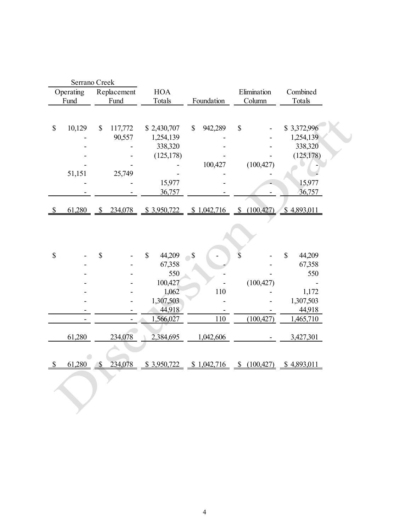| Serrano Creek |    |             |             |            |             |              |             |                 |  |
|---------------|----|-------------|-------------|------------|-------------|--------------|-------------|-----------------|--|
| Operating     |    | Replacement | <b>HOA</b>  |            |             |              | Elimination | Combined        |  |
| Fund          |    | Fund        | Totals      | Foundation |             | Column       |             | Totals          |  |
|               |    |             |             |            |             |              |             |                 |  |
|               |    |             |             |            |             |              |             |                 |  |
| \$<br>10,129  | \$ | 117,772     | \$2,430,707 | \$         | 942,289     | $\mathbb{S}$ |             | \$3,372,996     |  |
|               |    | 90,557      | 1,254,139   |            |             |              |             | 1,254,139       |  |
|               |    |             | 338,320     |            |             |              |             | 338,320         |  |
|               |    |             | (125, 178)  |            |             |              |             | (125, 178)      |  |
|               |    |             |             |            | 100,427     |              | (100, 427)  |                 |  |
| 51,151        |    | 25,749      |             |            |             |              |             |                 |  |
|               |    |             | 15,977      |            |             |              |             | 15,977          |  |
|               |    |             | 36,757      |            |             |              |             | 36,757          |  |
|               |    |             |             |            |             |              |             |                 |  |
| 61,280        | S  | 234,078     | \$3,950,722 |            | \$1,042,716 |              | (100, 427)  | 4,893,011<br>\$ |  |

| \$<br>- | \$      | \$<br>44,209 | \$        | $\mathcal{S}$ |            | \$<br>44,209 |
|---------|---------|--------------|-----------|---------------|------------|--------------|
| -       |         | 67,358       |           |               |            | 67,358       |
|         |         | 550          |           |               |            | 550          |
|         |         | 100,427      |           |               | (100, 427) |              |
|         |         | 1,062        | 110       |               |            | 1,172        |
|         |         | 1,307,503    |           |               |            | 1,307,503    |
| -       |         | 44,918       |           |               |            | 44,918       |
|         |         | 1,566,027    | 110       |               | (100, 427) | 1,465,710    |
|         |         |              |           |               |            |              |
| 61,280  | 234,078 | 2,384,695    | 1,042,606 |               |            | 3,427,301    |
|         |         |              |           |               |            |              |
|         |         |              |           |               |            |              |

\$ 61,280 \$ 234,078 \$ 3,950,722 \$ 1,042,716 \$ (100,427) \$ 4,893,011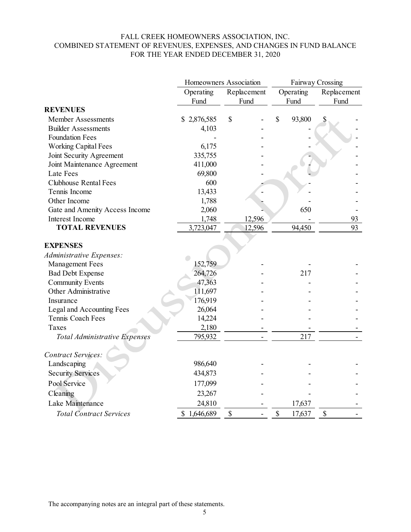# FALL CREEK HOMEOWNERS ASSOCIATION, INC. COMBINED STATEMENT OF REVENUES, EXPENSES, AND CHANGES IN FUND BALANCE FOR THE YEAR ENDED DECEMBER 31, 2020

|                                |                   | Homeowners Association | Fairway Crossing                    |                     |  |  |  |
|--------------------------------|-------------------|------------------------|-------------------------------------|---------------------|--|--|--|
|                                | Operating<br>Fund | Replacement<br>Fund    | Operating<br>Fund                   | Replacement<br>Fund |  |  |  |
| <b>REVENUES</b>                |                   |                        |                                     |                     |  |  |  |
| <b>Member Assessments</b>      | \$2,876,585       | $\mathbb{S}$           | \$<br>93,800                        |                     |  |  |  |
| <b>Builder Assessments</b>     | 4,103             |                        |                                     |                     |  |  |  |
| <b>Foundation Fees</b>         |                   |                        |                                     |                     |  |  |  |
| <b>Working Capital Fees</b>    | 6,175             |                        |                                     |                     |  |  |  |
| Joint Security Agreement       | 335,755           |                        |                                     |                     |  |  |  |
| Joint Maintenance Agreement    | 411,000           |                        |                                     |                     |  |  |  |
| Late Fees                      | 69,800            |                        |                                     |                     |  |  |  |
| <b>Clubhouse Rental Fees</b>   | 600               |                        |                                     |                     |  |  |  |
| Tennis Income                  | 13,433            |                        |                                     |                     |  |  |  |
| Other Income                   | 1,788             |                        |                                     |                     |  |  |  |
| Gate and Amenity Access Income | 2,060             |                        | 650                                 |                     |  |  |  |
| <b>Interest Income</b>         | 1,748             | 12,596                 |                                     | 93                  |  |  |  |
| <b>TOTAL REVENUES</b>          | 3,723,047         | 12,596                 | 94,450                              | 93                  |  |  |  |
| <b>EXPENSES</b>                |                   |                        |                                     |                     |  |  |  |
| Administrative Expenses:       |                   |                        |                                     |                     |  |  |  |
| <b>Management Fees</b>         | 152,759           |                        |                                     |                     |  |  |  |
| <b>Bad Debt Expense</b>        | 264,726           |                        | 217                                 |                     |  |  |  |
| <b>Community Events</b>        | 47,363            |                        |                                     |                     |  |  |  |
| Other Administrative           | 111,697           |                        |                                     |                     |  |  |  |
| Insurance                      | 176,919           |                        |                                     |                     |  |  |  |
| Legal and Accounting Fees      | 26,064            |                        |                                     |                     |  |  |  |
| Tennis Coach Fees              | 14,224            |                        |                                     |                     |  |  |  |
| Taxes                          | 2,180             |                        |                                     |                     |  |  |  |
| Total Administrative Expenses  | 795,932           |                        | 217                                 |                     |  |  |  |
| <b>Contract Services:</b>      |                   |                        |                                     |                     |  |  |  |
| Landscaping                    | 986,640           |                        |                                     |                     |  |  |  |
| <b>Security Services</b>       | 434,873           |                        |                                     |                     |  |  |  |
| Pool Service                   | 177,099           |                        |                                     |                     |  |  |  |
| Cleaning                       | 23,267            |                        |                                     |                     |  |  |  |
| Lake Maintenance               | 24,810            |                        | 17,637                              |                     |  |  |  |
| <b>Total Contract Services</b> | \$1,646,689       | \$                     | $\boldsymbol{\mathsf{S}}$<br>17,637 | \$                  |  |  |  |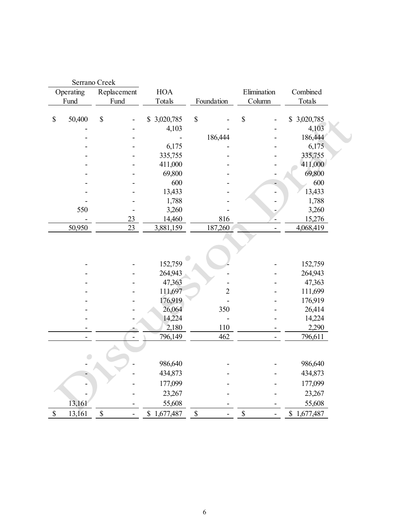|              | Serrano Creek             |             |                           |                |             |                          |                 |  |
|--------------|---------------------------|-------------|---------------------------|----------------|-------------|--------------------------|-----------------|--|
| Operating    | Replacement               | <b>HOA</b>  |                           |                | Elimination |                          | Combined        |  |
| Fund         | Fund                      | Totals      |                           | Foundation     | Column      |                          | Totals          |  |
|              |                           |             |                           |                |             |                          |                 |  |
| \$<br>50,400 | \$                        | \$3,020,785 | $\boldsymbol{\mathsf{S}}$ |                | \$          |                          | 3,020,785<br>\$ |  |
|              |                           | 4,103       |                           |                |             |                          | 4,103           |  |
|              |                           |             |                           | 186,444        |             |                          | 186,444         |  |
|              |                           | 6,175       |                           |                |             |                          | 6,175           |  |
|              |                           | 335,755     |                           |                |             |                          | 335,755         |  |
|              |                           | 411,000     |                           |                |             |                          | 411,000         |  |
|              |                           | 69,800      |                           |                |             |                          | 69,800          |  |
|              |                           | 600         |                           |                |             | $\overline{\phantom{0}}$ | 600             |  |
|              |                           | 13,433      |                           |                |             | $\overline{\phantom{0}}$ | 13,433          |  |
|              |                           | 1,788       |                           |                |             | $\overline{\phantom{0}}$ | 1,788           |  |
| 550          |                           | 3,260       |                           |                |             |                          | 3,260           |  |
|              | 23                        | 14,460      |                           | 816            |             |                          | 15,276          |  |
| 50,950       | 23                        | 3,881,159   |                           | 187,260        |             |                          | 4,068,419       |  |
|              |                           |             |                           |                |             |                          |                 |  |
|              |                           | 152,759     |                           |                |             |                          | 152,759         |  |
|              |                           | 264,943     |                           |                |             |                          | 264,943         |  |
|              |                           | 47,363      |                           |                |             |                          | 47,363          |  |
|              |                           | 111,697     |                           | $\overline{c}$ |             |                          | 111,699         |  |
|              |                           | 176,919     |                           |                |             |                          | 176,919         |  |
|              |                           | 26,064      |                           | 350            |             |                          | 26,414          |  |
|              |                           | 14,224      |                           |                |             |                          | 14,224          |  |
|              |                           | 2,180       |                           | 110            |             |                          | 2,290           |  |
|              |                           | 796,149     |                           | 462            |             | $\blacksquare$           | 796,611         |  |
|              |                           |             |                           |                |             |                          |                 |  |
| O            |                           | 986,640     |                           |                |             |                          | 986,640         |  |
|              |                           | 434,873     |                           |                |             |                          | 434,873         |  |
|              |                           | 177,099     |                           |                |             |                          | 177,099         |  |
|              |                           | 23,267      |                           |                |             |                          | 23,267          |  |
| 13,161       |                           | 55,608      |                           |                |             |                          | 55,608          |  |
| \$<br>13,161 | $\boldsymbol{\mathsf{S}}$ | \$1,677,487 | \$                        |                | $\sqrt{\ }$ | $\blacksquare$           | \$1,677,487     |  |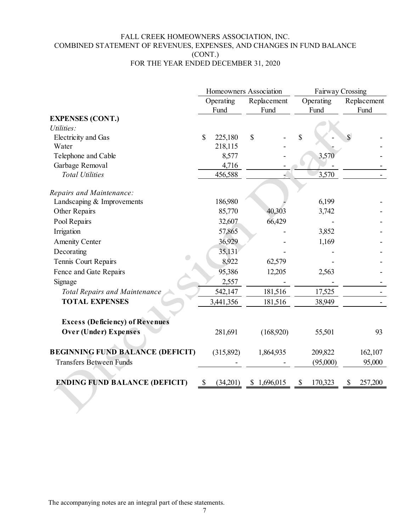# FALL CREEK HOMEOWNERS ASSOCIATION, INC. COMBINED STATEMENT OF REVENUES, EXPENSES, AND CHANGES IN FUND BALANCE (CONT.) FOR THE YEAR ENDED DECEMBER 31, 2020

|                                         |               | Homeowners Association |                     | <b>Fairway Crossing</b> |    |                     |
|-----------------------------------------|---------------|------------------------|---------------------|-------------------------|----|---------------------|
|                                         |               | Operating<br>Fund      | Replacement<br>Fund | Operating<br>Fund       |    | Replacement<br>Fund |
| <b>EXPENSES (CONT.)</b>                 |               |                        |                     |                         |    |                     |
| Utilities:                              |               |                        |                     |                         |    |                     |
| Electricity and Gas                     | \$            | 225,180                | \$                  | \$                      | \$ |                     |
| Water                                   |               | 218,115                |                     |                         |    |                     |
| Telephone and Cable                     |               | 8,577                  |                     | 3,570                   |    |                     |
| Garbage Removal                         |               | 4,716                  |                     |                         |    |                     |
| <b>Total Utilities</b>                  |               | 456,588                |                     | 3,570                   |    |                     |
| Repairs and Maintenance:                |               |                        |                     |                         |    |                     |
| Landscaping & Improvements              |               | 186,980                |                     | 6,199                   |    |                     |
| Other Repairs                           |               | 85,770                 | 40,303              | 3,742                   |    |                     |
| Pool Repairs                            |               | 32,607                 | 66,429              |                         |    |                     |
| Irrigation                              |               | 57,865                 |                     | 3,852                   |    |                     |
| <b>Amenity Center</b>                   |               | 36,929                 |                     | 1,169                   |    |                     |
| Decorating                              |               | 35,131                 |                     |                         |    |                     |
| Tennis Court Repairs                    |               | 8,922                  | 62,579              |                         |    |                     |
| Fence and Gate Repairs                  |               | 95,386                 | 12,205              | 2,563                   |    |                     |
| Signage                                 |               | 2,557                  |                     |                         |    |                     |
| <b>Total Repairs and Maintenance</b>    |               | 542,147                | 181,516             | 17,525                  |    |                     |
| <b>TOTAL EXPENSES</b>                   |               | 3,441,356              | 181,516             | 38,949                  |    |                     |
| <b>Excess (Deficiency) of Revenues</b>  |               |                        |                     |                         |    |                     |
| <b>Over (Under) Expenses</b>            |               | 281,691                | (168,920)           | 55,501                  |    | 93                  |
| <b>BEGINNING FUND BALANCE (DEFICIT)</b> |               | (315,892)              | 1,864,935           | 209,822                 |    | 162,107             |
| <b>Transfers Between Funds</b>          |               |                        |                     | (95,000)                |    | 95,000              |
| <b>ENDING FUND BALANCE (DEFICIT)</b>    | $\mathcal{S}$ | (34,201)               | \$<br>1,696,015     | \$<br>170,323           | \$ | 257,200             |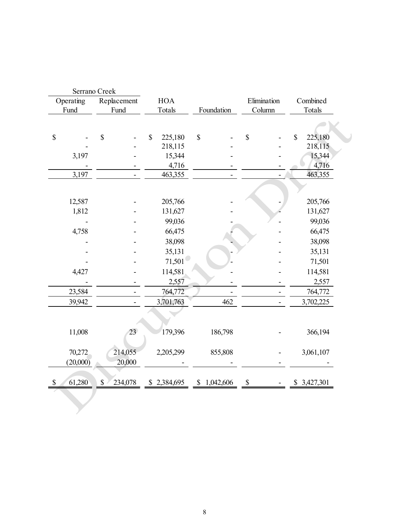|                                     | Serrano Creek |                         |                 |                           |               |
|-------------------------------------|---------------|-------------------------|-----------------|---------------------------|---------------|
| Operating                           | Replacement   | <b>HOA</b>              |                 | Elimination               | Combined      |
| Fund                                | Fund          | Totals                  | Foundation      | Column                    | Totals        |
|                                     |               |                         |                 |                           |               |
| \$                                  | \$            | $\mathbb{S}$<br>225,180 | $\mathbb{S}$    | \$                        | 225,180<br>\$ |
|                                     |               | 218,115                 |                 |                           | 218,115       |
| 3,197                               |               | 15,344                  |                 |                           | 15,344        |
|                                     |               | 4,716                   |                 |                           | 4,716         |
| 3,197                               |               | 463,355                 |                 |                           | 463,355       |
|                                     |               |                         |                 |                           |               |
| 12,587                              |               | 205,766                 |                 |                           | 205,766       |
| 1,812                               |               | 131,627                 |                 |                           | 131,627       |
|                                     |               | 99,036                  |                 |                           | 99,036        |
| 4,758                               |               | 66,475                  |                 |                           | 66,475        |
|                                     |               | 38,098                  |                 |                           | 38,098        |
|                                     |               | 35,131                  |                 |                           | 35,131        |
|                                     |               | 71,501                  |                 |                           | 71,501        |
| 4,427                               |               | 114,581                 |                 |                           | 114,581       |
|                                     |               | 2,557                   |                 |                           | 2,557         |
| 23,584                              |               | 764,772                 |                 |                           | 764,772       |
| 39,942                              |               | 3,701,763               | 462             |                           | 3,702,225     |
|                                     |               |                         |                 |                           |               |
| 11,008                              | 23            | 179,396                 | 186,798         |                           | 366,194       |
| 70,272                              | 214,055       | 2,205,299               | 855,808         |                           | 3,061,107     |
| (20,000)                            | 20,000        |                         |                 |                           |               |
|                                     |               |                         |                 |                           |               |
| 61,280<br>$\boldsymbol{\mathsf{S}}$ | \$<br>234,078 | \$2,384,695             | 1,042,606<br>\$ | $\boldsymbol{\mathsf{S}}$ | \$ 3,427,301  |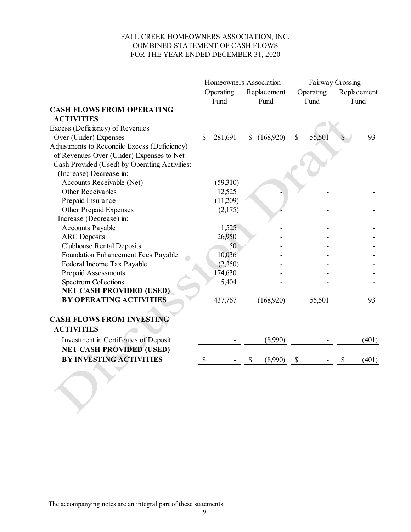# FALL CREEK HOMEOWNERS ASSOCIATION, INC. COMBINED STATEMENT OF CASH FLOWS FOR THE YEAR ENDED DECEMBER 31, 2020

|                                                       | Homeowners Association |    |                     | Fairway Crossing  |                     |
|-------------------------------------------------------|------------------------|----|---------------------|-------------------|---------------------|
|                                                       | Operating<br>Fund      |    | Replacement<br>Fund | Operating<br>Fund | Replacement<br>Fund |
| <b>CASH FLOWS FROM OPERATING</b><br><b>ACTIVITIES</b> |                        |    |                     |                   |                     |
| Excess (Deficiency) of Revenues                       |                        |    |                     |                   |                     |
| Over (Under) Expenses                                 | \$<br>281,691          | S  | (168,920)           | \$<br>55,501      | 93                  |
| Adjustments to Reconcile Excess (Deficiency)          |                        |    |                     |                   |                     |
| of Revenues Over (Under) Expenses to Net              |                        |    |                     |                   |                     |
| Cash Provided (Used) by Operating Activities:         |                        |    |                     |                   |                     |
| (Increase) Decrease in:                               |                        |    |                     |                   |                     |
| Accounts Receivable (Net)                             | (59,310)               |    |                     |                   |                     |
| Other Receivables                                     | 12,525                 |    |                     |                   |                     |
| Prepaid Insurance                                     | (11,209)               |    |                     |                   |                     |
| Other Prepaid Expenses                                | (2,175)                |    |                     |                   |                     |
| Increase (Decrease) in:                               |                        |    |                     |                   |                     |
| <b>Accounts Payable</b>                               | 1,525                  |    |                     |                   |                     |
| <b>ARC</b> Deposits                                   | 26,950                 |    |                     |                   |                     |
| <b>Clubhouse Rental Deposits</b>                      | 50                     |    |                     |                   |                     |
| Foundation Enhancement Fees Payable                   | 10,036                 |    |                     |                   |                     |
| Federal Income Tax Payable                            | (2,350)                |    |                     |                   |                     |
| Prepaid Assessments                                   | 174,630                |    |                     |                   |                     |
| <b>Spectrum Collections</b>                           | 5,404                  |    |                     |                   |                     |
| <b>NET CASH PROVIDED (USED)</b>                       |                        |    |                     |                   |                     |
| <b>BY OPERATING ACTIVITIES</b>                        | 437,767                |    | (168,920)           | 55,501            | 93                  |
|                                                       |                        |    |                     |                   |                     |
| <b>CASH FLOWS FROM INVESTING</b>                      |                        |    |                     |                   |                     |
| <b>ACTIVITIES</b>                                     |                        |    |                     |                   |                     |
| Investment in Certificates of Deposit                 |                        |    | (8,990)             |                   | (401)               |
| <b>NET CASH PROVIDED (USED)</b>                       |                        |    |                     |                   |                     |
| <b>BY INVESTING ACTIVITIES</b>                        | \$                     | \$ | (8,990)             | \$                | \$<br>(401)         |
|                                                       |                        |    |                     |                   |                     |

The accompanying notes are an integral part of these statements.

 $\mathcal{O}^{\mathcal{V}}$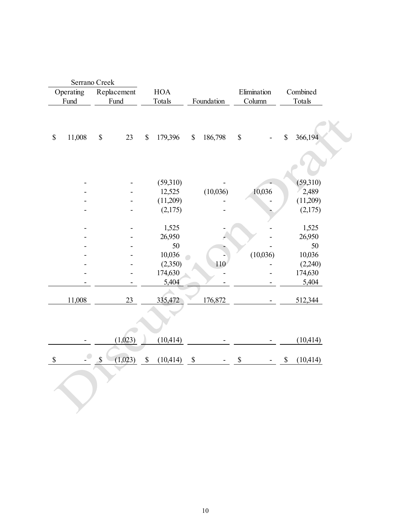|                           | Serrano Creek         |                           |         |             |                                |               |            |                           |             |                    |                               |  |  |
|---------------------------|-----------------------|---------------------------|---------|-------------|--------------------------------|---------------|------------|---------------------------|-------------|--------------------|-------------------------------|--|--|
| Operating<br>Replacement  |                       |                           |         |             | <b>HOA</b>                     |               |            |                           | Elimination | Combined           |                               |  |  |
|                           | Fund                  |                           | Fund    |             | Totals                         |               | Foundation |                           | Column      |                    | Totals                        |  |  |
| $\boldsymbol{\mathsf{S}}$ | 11,008<br>$\mathbb S$ |                           | 23      | $\mathbb S$ | 179,396                        | $\mathcal{S}$ | 186,798    | $\boldsymbol{\mathsf{S}}$ |             | $\boldsymbol{\$\}$ | 366,194                       |  |  |
|                           |                       |                           |         |             | (59,310)<br>12,525<br>(11,209) |               | (10,036)   |                           | 10,036      |                    | (59,310)<br>2,489<br>(11,209) |  |  |
|                           |                       |                           |         |             | (2,175)<br>1,525<br>26,950     |               |            |                           |             |                    | (2,175)<br>1,525<br>26,950    |  |  |
|                           |                       |                           |         |             | 50<br>10,036                   |               |            |                           | (10,036)    |                    | 50<br>10,036                  |  |  |
|                           |                       |                           |         |             | (2,350)<br>174,630<br>5,404    |               | 110        |                           |             |                    | (2,240)<br>174,630<br>5,404   |  |  |
|                           | 11,008                |                           | 23      |             | 335,472                        |               | 176,872    |                           |             |                    | 512,344                       |  |  |
|                           |                       |                           | (1,023) |             | (10, 414)                      |               |            |                           |             |                    | (10, 414)                     |  |  |
| $\mathbb{S}$              |                       | $\boldsymbol{\mathsf{S}}$ | (1,023) | $\mathbb S$ | (10, 414)                      | $\mathbb{S}$  |            | $\boldsymbol{\$}$         |             | $\$$               | (10, 414)                     |  |  |
|                           |                       |                           |         |             |                                |               |            |                           |             |                    |                               |  |  |

10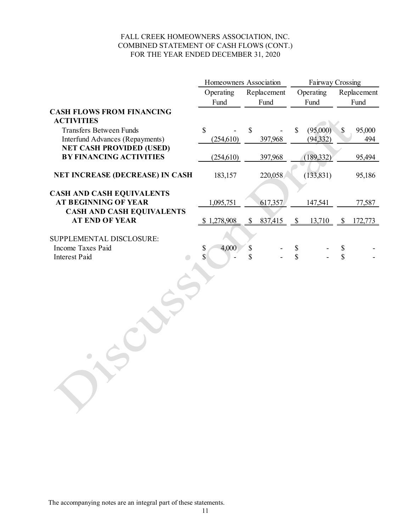# FALL CREEK HOMEOWNERS ASSOCIATION, INC. COMBINED STATEMENT OF CASH FLOWS (CONT.) FOR THE YEAR ENDED DECEMBER 31, 2020

|                                        |             | Homeowners Association | Fairway Crossing       |                         |  |  |
|----------------------------------------|-------------|------------------------|------------------------|-------------------------|--|--|
|                                        | Operating   | Replacement            | Operating              | Replacement             |  |  |
|                                        | Fund        | Fund                   | Fund                   | Fund                    |  |  |
| <b>CASH FLOWS FROM FINANCING</b>       |             |                        |                        |                         |  |  |
| <b>ACTIVITIES</b>                      |             |                        |                        |                         |  |  |
| Transfers Between Funds                | \$          | S                      | \$<br>(95,000)         | $\mathcal{S}$<br>95,000 |  |  |
| Interfund Advances (Repayments)        | (254,610)   | 397,968                | (94, 332)              | 494                     |  |  |
| <b>NET CASH PROVIDED (USED)</b>        |             |                        |                        |                         |  |  |
| <b>BY FINANCING ACTIVITIES</b>         | (254,610)   | 397,968                | (189, 332)             | 95,494                  |  |  |
|                                        |             |                        |                        |                         |  |  |
| <b>NET INCREASE (DECREASE) IN CASH</b> | 183,157     | 220,058                | (133, 831)             | 95,186                  |  |  |
|                                        |             |                        |                        |                         |  |  |
| <b>CASH AND CASH EQUIVALENTS</b>       |             |                        |                        |                         |  |  |
| <b>AT BEGINNING OF YEAR</b>            | 1,095,751   | 617,357                | 147,541                | 77,587                  |  |  |
| <b>CASH AND CASH EQUIVALENTS</b>       |             |                        |                        |                         |  |  |
| <b>AT END OF YEAR</b>                  | \$1,278,908 | 837,415<br>S.          | 13,710<br><sup>S</sup> | 172,773<br><b>S</b>     |  |  |
|                                        |             |                        |                        |                         |  |  |
| SUPPLEMENTAL DISCLOSURE:               |             |                        |                        |                         |  |  |
| Income Taxes Paid                      | \$<br>4,000 | \$                     | \$                     | \$                      |  |  |
| Interest Paid                          |             |                        | \$                     | $\mathbf S$             |  |  |
|                                        |             |                        |                        |                         |  |  |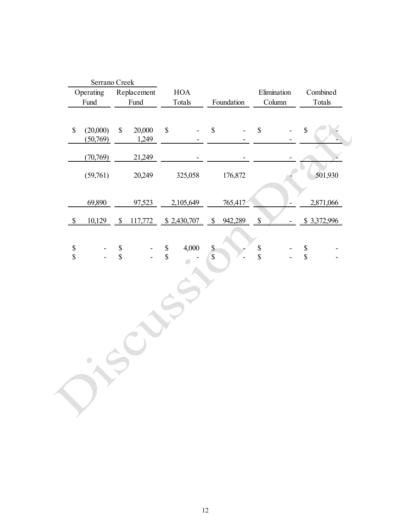|                   | Serrano Creek        |          |                 |                   |             |                               |         |               |             |                   |           |  |
|-------------------|----------------------|----------|-----------------|-------------------|-------------|-------------------------------|---------|---------------|-------------|-------------------|-----------|--|
|                   | Operating            |          | Replacement     |                   | <b>HOA</b>  |                               |         |               | Elimination |                   | Combined  |  |
|                   | Fund                 |          | Fund            | Totals            |             | Foundation                    |         |               | Column      | Totals            |           |  |
|                   |                      |          |                 |                   |             |                               |         |               |             |                   |           |  |
| $\mathbb{S}$      | (20,000)<br>(50,769) | \$       | 20,000<br>1,249 | \$                |             | $\mathcal{S}$                 |         | $\mathcal{S}$ |             | \$                |           |  |
|                   | (70, 769)            |          | 21,249          |                   |             |                               |         |               |             |                   |           |  |
|                   | (59,761)             |          | 20,249          |                   | 325,058     |                               | 176,872 |               |             |                   | 501,930   |  |
|                   | 69,890               |          | 97,523          |                   | 2,105,649   |                               | 765,417 |               |             |                   | 2,871,066 |  |
|                   | 10,129               | \$       | 117,772         |                   | \$2,430,707 | \$                            | 942,289 | \$            |             | \$3,372,996       |           |  |
| \$<br>$\mathbf S$ |                      | \$<br>\$ |                 | \$<br>$\mathbf S$ | 4,000       | \$<br>$\overline{\mathbb{S}}$ |         | \$<br>\$      |             | \$<br>$\mathbf S$ |           |  |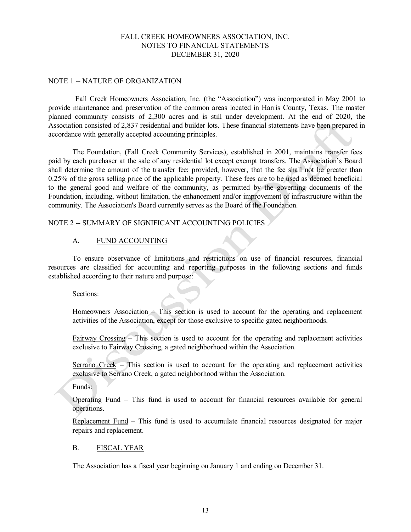## NOTE 1 -- NATURE OF ORGANIZATION

Fall Creek Homeowners Association, Inc. (the "Association") was incorporated in May 2001 to provide maintenance and preservation of the common areas located in Harris County, Texas. The master planned community consists of 2,300 acres and is still under development. At the end of 2020, the Association consisted of 2,837 residential and builder lots. These financial statements have been prepared in accordance with generally accepted accounting principles.

The Foundation, (Fall Creek Community Services), established in 2001, maintains transfer fees paid by each purchaser at the sale of any residential lot except exempt transfers. The Association's Board shall determine the amount of the transfer fee; provided, however, that the fee shall not be greater than 0.25% of the gross selling price of the applicable property. These fees are to be used as deemed beneficial to the general good and welfare of the community, as permitted by the governing documents of the Foundation, including, without limitation, the enhancement and/or improvement of infrastructure within the community. The Association's Board currently serves as the Board of the Foundation.

# NOTE 2 -- SUMMARY OF SIGNIFICANT ACCOUNTING POLICIES

# A. FUND ACCOUNTING

To ensure observance of limitations and restrictions on use of financial resources, financial resources are classified for accounting and reporting purposes in the following sections and funds established according to their nature and purpose:

Sections:

Homeowners Association – This section is used to account for the operating and replacement activities of the Association, except for those exclusive to specific gated neighborhoods.

Fairway Crossing – This section is used to account for the operating and replacement activities exclusive to Fairway Crossing, a gated neighborhood within the Association.

Serrano Creek – This section is used to account for the operating and replacement activities exclusive to Serrano Creek, a gated neighborhood within the Association.

Funds:

Operating Fund – This fund is used to account for financial resources available for general operations.

Replacement Fund – This fund is used to accumulate financial resources designated for major repairs and replacement.

#### B. FISCAL YEAR

The Association has a fiscal year beginning on January 1 and ending on December 31.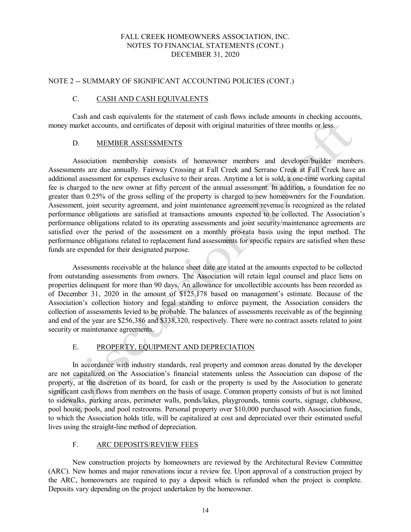# NOTE 2 -- SUMMARY OF SIGNIFICANT ACCOUNTING POLICIES (CONT.)

#### C. CASH AND CASH EQUIVALENTS

Cash and cash equivalents for the statement of cash flows include amounts in checking accounts, money market accounts, and certificates of deposit with original maturities of three months or less.

#### D. MEMBER ASSESSMENTS

Association membership consists of homeowner members and developer/builder members. Assessments are due annually. Fairway Crossing at Fall Creek and Serrano Creek at Fall Creek have an additional assessment for expenses exclusive to their areas. Anytime a lot is sold, a one-time working capital fee is charged to the new owner at fifty percent of the annual assessment. In addition, a foundation fee no greater than 0.25% of the gross selling of the property is charged to new homeowners for the Foundation. Assessment, joint security agreement, and joint maintenance agreement revenue is recognized as the related performance obligations are satisfied at transactions amounts expected to be collected. The Association's performance obligations related to its operating assessments and joint security/maintenance agreements are satisfied over the period of the assessment on a monthly pro-rata basis using the input method. The performance obligations related to replacement fund assessments for specific repairs are satisfied when these funds are expended for their designated purpose.

Assessments receivable at the balance sheet date are stated at the amounts expected to be collected from outstanding assessments from owners. The Association will retain legal counsel and place liens on properties delinquent for more than 90 days. An allowance for uncollectible accounts has been recorded as of December 31, 2020 in the amount of \$125,178 based on management's estimate. Because of the Association's collection history and legal standing to enforce payment, the Association considers the collection of assessments levied to be probable. The balances of assessments receivable as of the beginning and end of the year are \$256,386 and \$338,320, respectively. There were no contract assets related to joint security or maintenance agreements.

# E. PROPERTY, EQUIPMENT AND DEPRECIATION

In accordance with industry standards, real property and common areas donated by the developer are not capitalized on the Association's financial statements unless the Association can dispose of the property, at the discretion of its board, for cash or the property is used by the Association to generate significant cash flows from members on the basis of usage. Common property consists of but is not limited to sidewalks, parking areas, perimeter walls, ponds/lakes, playgrounds, tennis courts, signage, clubhouse, pool house, pools, and pool restrooms. Personal property over \$10,000 purchased with Association funds, to which the Association holds title, will be capitalized at cost and depreciated over their estimated useful lives using the straight-line method of depreciation.

#### F. ARC DEPOSITS/REVIEW FEES

New construction projects by homeowners are reviewed by the Architectural Review Committee (ARC). New homes and major renovations incur a review fee. Upon approval of a construction project by the ARC, homeowners are required to pay a deposit which is refunded when the project is complete. Deposits vary depending on the project undertaken by the homeowner.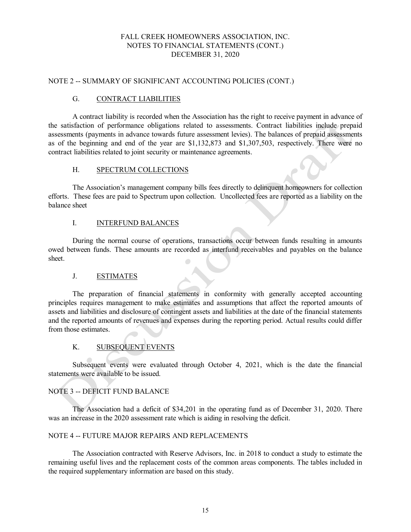#### NOTE 2 -- SUMMARY OF SIGNIFICANT ACCOUNTING POLICIES (CONT.)

#### G. CONTRACT LIABILITIES

A contract liability is recorded when the Association has the right to receive payment in advance of the satisfaction of performance obligations related to assessments. Contract liabilities include prepaid assessments (payments in advance towards future assessment levies). The balances of prepaid assessments as of the beginning and end of the year are \$1,132,873 and \$1,307,503, respectively. There were no contract liabilities related to joint security or maintenance agreements.

#### H. SPECTRUM COLLECTIONS

The Association's management company bills fees directly to delinquent homeowners for collection efforts. These fees are paid to Spectrum upon collection. Uncollected fees are reported as a liability on the balance sheet

#### I. INTERFUND BALANCES

During the normal course of operations, transactions occur between funds resulting in amounts owed between funds. These amounts are recorded as interfund receivables and payables on the balance sheet.

#### J. ESTIMATES

The preparation of financial statements in conformity with generally accepted accounting principles requires management to make estimates and assumptions that affect the reported amounts of assets and liabilities and disclosure of contingent assets and liabilities at the date of the financial statements and the reported amounts of revenues and expenses during the reporting period. Actual results could differ from those estimates.

#### K. SUBSEQUENT EVENTS

Subsequent events were evaluated through October 4, 2021, which is the date the financial statements were available to be issued.

# NOTE 3 -- DEFICIT FUND BALANCE

The Association had a deficit of \$34,201 in the operating fund as of December 31, 2020. There was an increase in the 2020 assessment rate which is aiding in resolving the deficit.

#### NOTE 4 -- FUTURE MAJOR REPAIRS AND REPLACEMENTS

The Association contracted with Reserve Advisors, Inc. in 2018 to conduct a study to estimate the remaining useful lives and the replacement costs of the common areas components. The tables included in the required supplementary information are based on this study.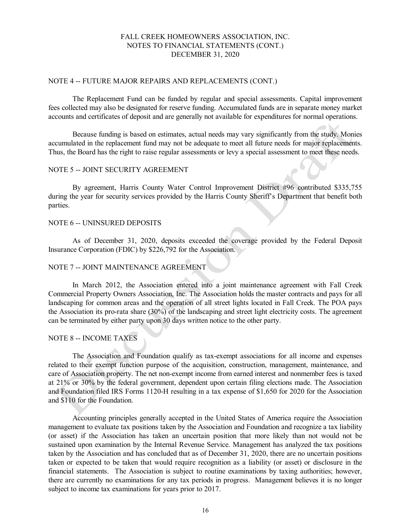#### NOTE 4 -- FUTURE MAJOR REPAIRS AND REPLACEMENTS (CONT.)

The Replacement Fund can be funded by regular and special assessments. Capital improvement fees collected may also be designated for reserve funding. Accumulated funds are in separate money market accounts and certificates of deposit and are generally not available for expenditures for normal operations.

Because funding is based on estimates, actual needs may vary significantly from the study. Monies accumulated in the replacement fund may not be adequate to meet all future needs for major replacements. Thus, the Board has the right to raise regular assessments or levy a special assessment to meet these needs.

#### NOTE 5 -- JOINT SECURITY AGREEMENT

By agreement, Harris County Water Control Improvement District #96 contributed \$335,755 during the year for security services provided by the Harris County Sheriff's Department that benefit both parties.

#### NOTE 6 -- UNINSURED DEPOSITS

As of December 31, 2020, deposits exceeded the coverage provided by the Federal Deposit Insurance Corporation (FDIC) by \$226,792 for the Association.

## NOTE 7 -- JOINT MAINTENANCE AGREEMENT

In March 2012, the Association entered into a joint maintenance agreement with Fall Creek Commercial Property Owners Association, Inc. The Association holds the master contracts and pays for all landscaping for common areas and the operation of all street lights located in Fall Creek. The POA pays the Association its pro-rata share (30%) of the landscaping and street light electricity costs. The agreement can be terminated by either party upon 30 days written notice to the other party.

#### NOTE 8 -- INCOME TAXES

The Association and Foundation qualify as tax-exempt associations for all income and expenses related to their exempt function purpose of the acquisition, construction, management, maintenance, and care of Association property. The net non-exempt income from earned interest and nonmember fees is taxed at 21% or 30% by the federal government, dependent upon certain filing elections made. The Association and Foundation filed IRS Forms 1120-H resulting in a tax expense of \$1,650 for 2020 for the Association and \$110 for the Foundation.

Accounting principles generally accepted in the United States of America require the Association management to evaluate tax positions taken by the Association and Foundation and recognize a tax liability (or asset) if the Association has taken an uncertain position that more likely than not would not be sustained upon examination by the Internal Revenue Service. Management has analyzed the tax positions taken by the Association and has concluded that as of December 31, 2020, there are no uncertain positions taken or expected to be taken that would require recognition as a liability (or asset) or disclosure in the financial statements. The Association is subject to routine examinations by taxing authorities; however, there are currently no examinations for any tax periods in progress. Management believes it is no longer subject to income tax examinations for years prior to 2017.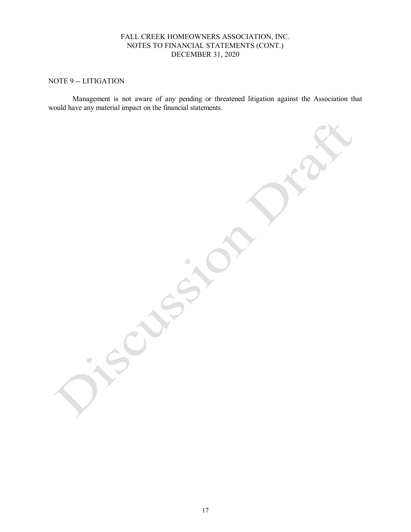#### NOTE 9 -- LITIGATION

Management is not aware of any pending or threatened litigation against the Association that would have any material impact on the financial statements.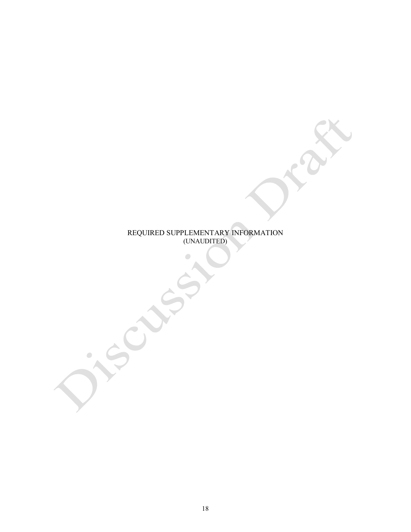#### REQUIRED SUPPLEMENTARY INFORMATION (UNAUDITED)

 $\bigcirc$ 

 $\bullet$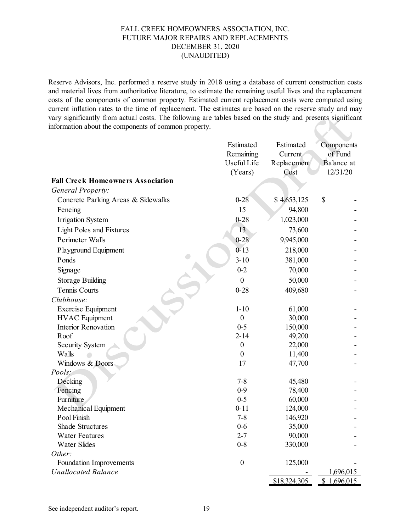# FALL CREEK HOMEOWNERS ASSOCIATION, INC. FUTURE MAJOR REPAIRS AND REPLACEMENTS DECEMBER 31, 2020 (UNAUDITED)

Reserve Advisors, Inc. performed a reserve study in 2018 using a database of current construction costs and material lives from authoritative literature, to estimate the remaining useful lives and the replacement costs of the components of common property. Estimated current replacement costs were computed using current inflation rates to the time of replacement. The estimates are based on the reserve study and may vary significantly from actual costs. The following are tables based on the study and presents significant information about the components of common property.

|                                          | Estimated<br>Remaining<br>Useful Life | Estimated<br>Current<br>Replacement | Components<br>of Fund<br>Balance at |
|------------------------------------------|---------------------------------------|-------------------------------------|-------------------------------------|
|                                          | (Years)                               | Cost                                | 12/31/20                            |
| <b>Fall Creek Homeowners Association</b> |                                       |                                     |                                     |
| <b>General Property:</b>                 |                                       |                                     |                                     |
| Concrete Parking Areas & Sidewalks       | $0 - 28$                              | \$4,653,125                         | \$                                  |
| Fencing                                  | 15                                    | 94,800                              |                                     |
| <b>Irrigation System</b>                 | $0 - 28$                              | 1,023,000                           |                                     |
| <b>Light Poles and Fixtures</b>          | 13                                    | 73,600                              |                                     |
| Perimeter Walls                          | $0 - 28$                              | 9,945,000                           |                                     |
| Playground Equipment                     | $0 - 13$                              | 218,000                             |                                     |
| Ponds                                    | $3 - 10$                              | 381,000                             |                                     |
| Signage                                  | $0 - 2$                               | 70,000                              |                                     |
| <b>Storage Building</b>                  | $\boldsymbol{0}$                      | 50,000                              |                                     |
| Tennis Courts                            | $0 - 28$                              | 409,680                             |                                     |
| Clubhouse:                               |                                       |                                     |                                     |
| <b>Exercise Equipment</b>                | $1 - 10$                              | 61,000                              |                                     |
| <b>HVAC</b> Equipment                    | $\overline{0}$                        | 30,000                              |                                     |
| <b>Interior Renovation</b>               | $0 - 5$                               | 150,000                             |                                     |
| Roof                                     | $2 - 14$                              | 49,200                              |                                     |
| Security System                          | $\boldsymbol{0}$                      | 22,000                              |                                     |
| Walls                                    | $\boldsymbol{0}$                      | 11,400                              |                                     |
| Windows & Doors                          | 17                                    | 47,700                              |                                     |
| Pools:                                   |                                       |                                     |                                     |
| Decking                                  | $7 - 8$                               | 45,480                              |                                     |
| Fencing                                  | $0 - 9$                               | 78,400                              |                                     |
| Furniture                                | $0 - 5$                               | 60,000                              |                                     |
| Mechanical Equipment                     | $0 - 11$                              | 124,000                             |                                     |
| Pool Finish<br><b>Shade Structures</b>   | $7 - 8$<br>$0 - 6$                    | 146,920                             |                                     |
| <b>Water Features</b>                    | $2 - 7$                               | 35,000<br>90,000                    |                                     |
| <b>Water Slides</b>                      | $0 - 8$                               | 330,000                             |                                     |
| Other:                                   |                                       |                                     |                                     |
| <b>Foundation Improvements</b>           | $\boldsymbol{0}$                      | 125,000                             |                                     |
| <b>Unallocated Balance</b>               |                                       |                                     | 1,696,015                           |
|                                          |                                       | \$18,324,305                        | \$1,696,015                         |